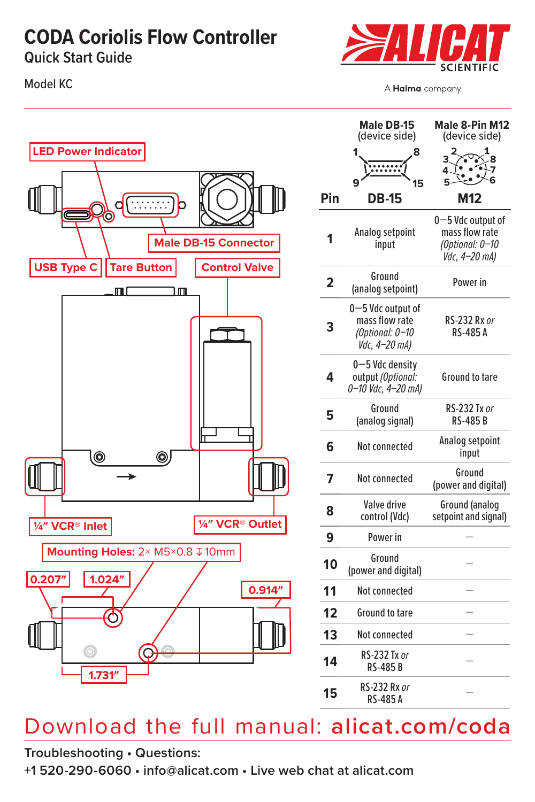### **CODA Coriolis Flow Controller**

**Quick Start Guide**

Model KC



A Halma company



|                         | <b>Male DB-15</b><br>(device side)                                      | Male 8-Pin M12<br>(device side)                                         |
|-------------------------|-------------------------------------------------------------------------|-------------------------------------------------------------------------|
|                         | 1<br>8<br>9<br>15                                                       | 2<br>3<br>4J<br>5                                                       |
| Pin                     | DB-15                                                                   | M12                                                                     |
| 1                       | Analog setpoint<br>input                                                | 0-5 Vdc output of<br>mass flow rate<br>(Optional: 0-10<br>Vdc, 4-20 mA) |
| $\overline{\mathbf{2}}$ | Ground<br>(analog setpoint)                                             | Power in                                                                |
| 3                       | 0-5 Vdc output of<br>mass flow rate<br>(Optional: 0-10<br>Vdc, 4-20 mA) | RS-232 Rx or<br>RS-485 A                                                |
| 4                       | 0-5 Vdc density<br>output (Optional:<br>0-10 Vdc, 4-20 mA)              | Ground to tare                                                          |
| 5                       | Ground<br>(analog signal)                                               | RS-232 Tx or<br><b>RS-485B</b>                                          |
| 6                       | Not connected                                                           | Analog setpoint<br>input                                                |
| 7                       | <b>Not connected</b>                                                    | Ground<br>(power and digital)                                           |
| 8                       | Valve drive<br>control (Vdc)                                            | <b>Ground</b> (analog<br>setpoint and signal)                           |
| 9                       | Power in                                                                |                                                                         |
| 10                      | Ground<br>(power and digital)                                           |                                                                         |
| 11                      | <b>Not connected</b>                                                    |                                                                         |
| 12                      | <b>Ground to tare</b>                                                   |                                                                         |
| 13                      | <b>Not connected</b>                                                    |                                                                         |
| 14                      | RS-232 Tx or<br><b>RS-485B</b>                                          |                                                                         |
| 15                      | RS-232 Rx or<br>RS-485 A                                                |                                                                         |

## Download the full manual: **[alicat.com/coda](http://alicat.com/coda)**

**Troubleshooting • Questions:**

**+1 520-290-6060 • [info@alicat.com](mailto:info@alicat.com) • Live web chat at [alicat.com](http://alicat.com)**